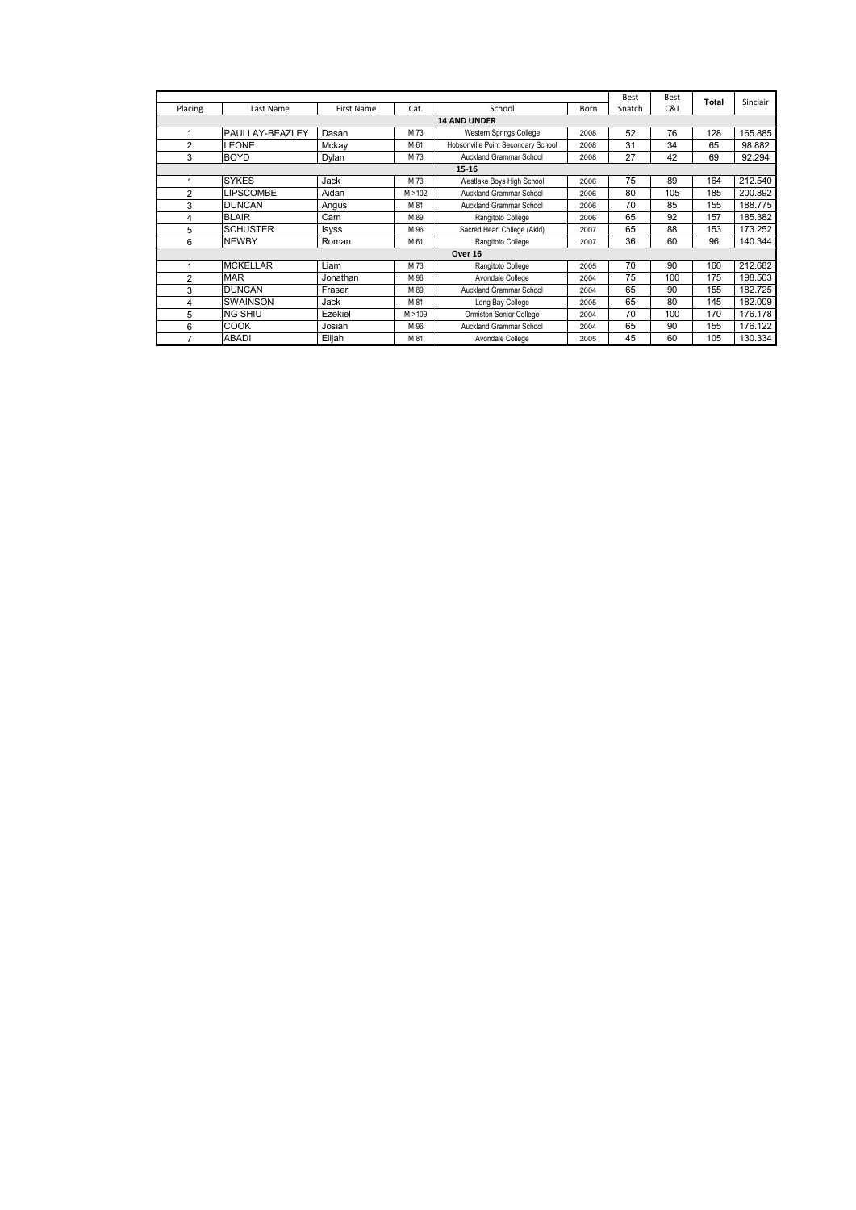|                |                     |                   |         |                                    |      |        |     | Total | Sinclair |  |  |  |  |
|----------------|---------------------|-------------------|---------|------------------------------------|------|--------|-----|-------|----------|--|--|--|--|
| Placing        | Last Name           | <b>First Name</b> | Cat.    | School                             | Born | Snatch | C&J |       |          |  |  |  |  |
|                | <b>14 AND UNDER</b> |                   |         |                                    |      |        |     |       |          |  |  |  |  |
|                | PAULLAY-BEAZLEY     | Dasan             | M 73    | Western Springs College<br>2008    |      | 52     | 76  | 128   | 165.885  |  |  |  |  |
| $\overline{2}$ | LEONE               | Mckav             | M 61    | Hobsonville Point Secondary School | 2008 | 31     | 34  | 65    | 98.882   |  |  |  |  |
| 3              | <b>BOYD</b>         | Dylan             | M 73    | Auckland Grammar School            | 2008 | 27     | 42  | 69    | 92.294   |  |  |  |  |
|                |                     |                   |         | $15 - 16$                          |      |        |     |       |          |  |  |  |  |
|                | <b>SYKES</b>        | Jack              | M 73    | Westlake Boys High School          | 2006 | 75     | 89  | 164   | 212.540  |  |  |  |  |
| $\overline{2}$ | <b>LIPSCOMBE</b>    | Aidan             | M > 102 | Auckland Grammar School            | 2006 | 80     | 105 | 185   | 200.892  |  |  |  |  |
| 3              | <b>DUNCAN</b>       | Angus             | M 81    | Auckland Grammar School            | 2006 | 70     | 85  | 155   | 188.775  |  |  |  |  |
| 4              | <b>BLAIR</b>        | Cam               | M 89    | Rangitoto College                  | 2006 | 65     | 92  | 157   | 185.382  |  |  |  |  |
| 5              | <b>SCHUSTER</b>     | Isyss             | M 96    | Sacred Heart College (Akld)        | 2007 | 65     | 88  | 153   | 173.252  |  |  |  |  |
| 6              | <b>NEWBY</b>        | Roman             | M 61    | Rangitoto College                  | 2007 | 36     | 60  | 96    | 140.344  |  |  |  |  |
|                |                     |                   |         | Over 16                            |      |        |     |       |          |  |  |  |  |
|                | <b>MCKELLAR</b>     | Liam              | M 73    | Rangitoto College                  | 2005 | 70     | 90  | 160   | 212.682  |  |  |  |  |
| 2              | <b>MAR</b>          | Jonathan          | M 96    | Avondale College                   | 2004 | 75     | 100 | 175   | 198.503  |  |  |  |  |
| 3              | <b>DUNCAN</b>       | Fraser            | M 89    | <b>Auckland Grammar School</b>     | 2004 | 65     | 90  | 155   | 182.725  |  |  |  |  |
| 4              | <b>SWAINSON</b>     | Jack              | M 81    | Long Bay College                   | 2005 | 65     | 80  | 145   | 182.009  |  |  |  |  |
| 5              | <b>NG SHIU</b>      | Ezekiel           | M > 109 | Ormiston Senior College            | 2004 | 70     | 100 | 170   | 176.178  |  |  |  |  |
| 6              | COOK                | Josiah            | M 96    | <b>Auckland Grammar School</b>     | 2004 | 65     | 90  | 155   | 176.122  |  |  |  |  |
|                | <b>ABADI</b>        | Elijah            | M 81    | Avondale College                   | 2005 | 45     | 60  | 105   | 130.334  |  |  |  |  |